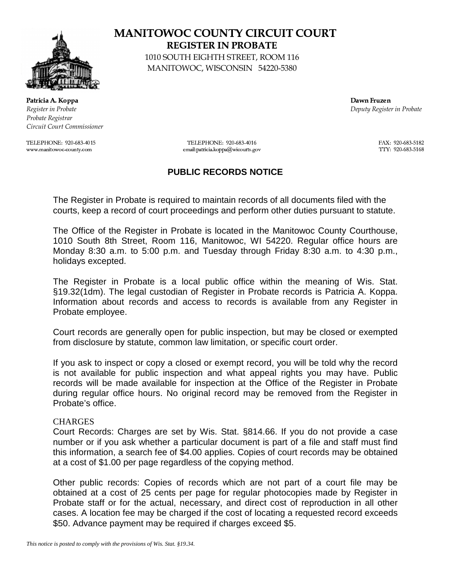

(\*),+.-0/.12/.)43658769:\*:\*) ;<),=<>@?-0A\*B,C,> Register in Probate  $De$ Probate Registrar Circuit Court Commissioner

www.manitowoc-county.com

## - 
 REGISTER IN PROBATE

-010 SOUTH EIGHTH STREET, ROOM 116 -MANITOWOC, WISCONSIN 54220-5380

puty Register in Probate

DFEHG,EHI,JLKNMNEHOQPSRSTSUVSWYXSUZSTY[S\ DFEHG,EHI,JLKNMNEHOQPSRSTSUVSWYXSUZSTY[SV ],^`\_QOQPSRSTSUVSWYXSU\S[YWSR  $\sim$  define  $\sim$  df  $\sim$  df  $\sim$  df  $\sim$  df  $\sim$  df  $\sim$  df  $\sim$  df  $\sim$  df  $\sim$  df  $\sim$  df  $\sim$  df  $\sim$  df  $\sim$  df  $\sim$  df  $\sim$  df  $\sim$  df  $\sim$  df  $\sim$  df  $\sim$  df  $\sim$  df  $\sim$  df  $\sim$  df  $\sim$  df  $\sim$  df  $\sim$  df  $\sim$  df

## **PUBLIC RECORDS NOTICE**

The Register in Probate is required to maintain records of all documents filed with the courts, keep a record of court proceedings and perform other duties pursuant to statute.

The Office of the Register in Probate is located in the Manitowoc County Courthouse, 1010 South 8th Street, Room 116, Manitowoc, WI 54220. Regular office hours are Monday 8:30 a.m. to 5:00 p.m. and Tuesday through Friday 8:30 a.m. to 4:30 p.m., holidays excepted.

The Register in Probate is a local public office within the meaning of Wis. Stat. §19.32(1dm). The legal custodian of Register in Probate records is Patricia A. Koppa. Information about records and access to records is available from any Register in Probate employee.

Court records are generally open for public inspection, but may be closed or exempted from disclosure by statute, common law limitation, or specific court order.

If you ask to inspect or copy a closed or exempt record, you will be told why the record is not available for public inspection and what appeal rights you may have. Public records will be made available for inspection at the Office of the Register in Probate during regular office hours. No original record may be removed from the Register in Probate's office.

## **CHARGES**

Court Records: Charges are set by Wis. Stat. §814.66. If you do not provide a case number or if you ask whether a particular document is part of a file and staff must find this information, a search fee of \$4.00 applies. Copies of court records may be obtained at a cost of \$1.00 per page regardless of the copying method.

Other public records: Copies of records which are not part of a court file may be obtained at a cost of 25 cents per page for regular photocopies made by Register in Probate staff or for the actual, necessary, and direct cost of reproduction in all other cases. A location fee may be charged if the cost of locating a requested record exceeds \$50. Advance payment may be required if charges exceed \$5.